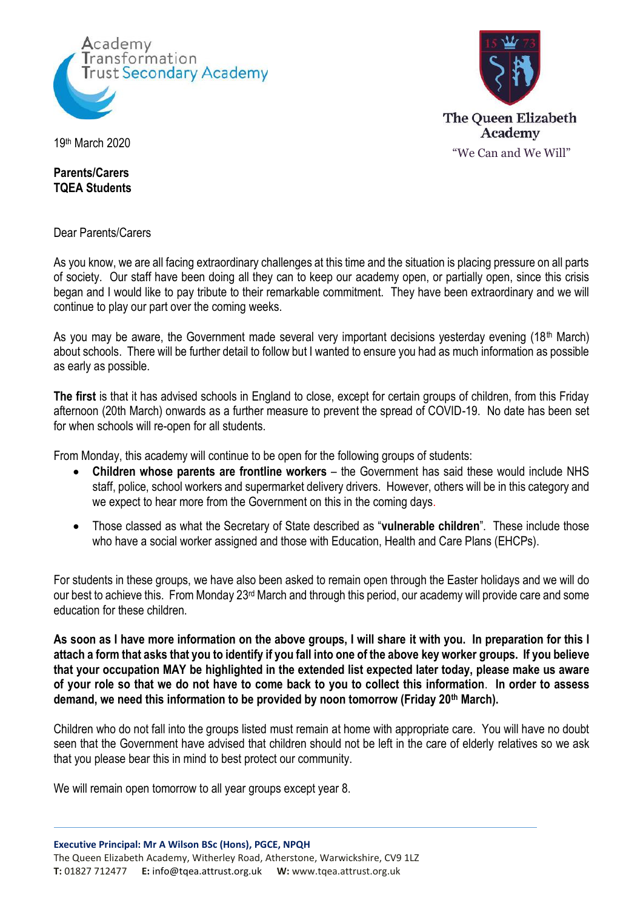



19th March 2020

**Parents/Carers TQEA Students**

Dear Parents/Carers

As you know, we are all facing extraordinary challenges at this time and the situation is placing pressure on all parts of society. Our staff have been doing all they can to keep our academy open, or partially open, since this crisis began and I would like to pay tribute to their remarkable commitment. They have been extraordinary and we will continue to play our part over the coming weeks.

As you may be aware, the Government made several very important decisions yesterday evening (18<sup>th</sup> March) about schools. There will be further detail to follow but I wanted to ensure you had as much information as possible as early as possible.

**The first** is that it has advised schools in England to close, except for certain groups of children, from this Friday afternoon (20th March) onwards as a further measure to prevent the spread of COVID-19. No date has been set for when schools will re-open for all students.

From Monday, this academy will continue to be open for the following groups of students:

- **Children whose parents are frontline workers** the Government has said these would include NHS staff, police, school workers and supermarket delivery drivers. However, others will be in this category and we expect to hear more from the Government on this in the coming days.
- Those classed as what the Secretary of State described as "**vulnerable children**". These include those who have a social worker assigned and those with Education, Health and Care Plans (EHCPs).

For students in these groups, we have also been asked to remain open through the Easter holidays and we will do our best to achieve this. From Monday 23rd March and through this period, our academy will provide care and some education for these children.

**As soon as I have more information on the above groups, I will share it with you. In preparation for this I attach a form that asks that you to identify if you fall into one of the above key worker groups. If you believe that your occupation MAY be highlighted in the extended list expected later today, please make us aware of your role so that we do not have to come back to you to collect this information**. **In order to assess demand, we need this information to be provided by noon tomorrow (Friday 20th March).**

Children who do not fall into the groups listed must remain at home with appropriate care. You will have no doubt seen that the Government have advised that children should not be left in the care of elderly relatives so we ask that you please bear this in mind to best protect our community.

We will remain open tomorrow to all year groups except year 8.